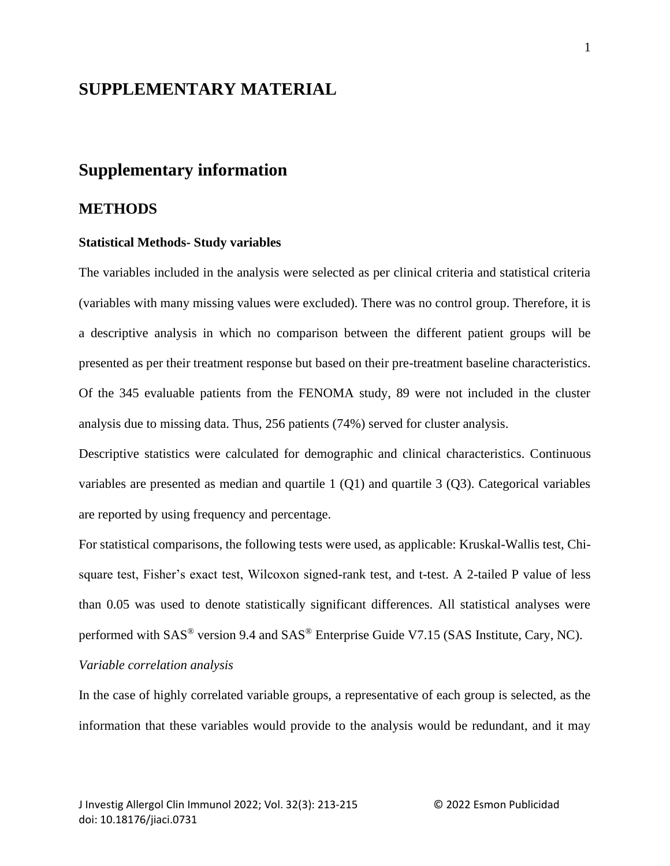## **SUPPLEMENTARY MATERIAL**

# **Supplementary information**

## **METHODS**

#### **Statistical Methods- Study variables**

The variables included in the analysis were selected as per clinical criteria and statistical criteria (variables with many missing values were excluded). There was no control group. Therefore, it is a descriptive analysis in which no comparison between the different patient groups will be presented as per their treatment response but based on their pre-treatment baseline characteristics. Of the 345 evaluable patients from the FENOMA study, 89 were not included in the cluster analysis due to missing data. Thus, 256 patients (74%) served for cluster analysis.

Descriptive statistics were calculated for demographic and clinical characteristics. Continuous variables are presented as median and quartile 1 (Q1) and quartile 3 (Q3). Categorical variables are reported by using frequency and percentage.

For statistical comparisons, the following tests were used, as applicable: Kruskal-Wallis test, Chisquare test, Fisher's exact test, Wilcoxon signed-rank test, and t-test. A 2-tailed P value of less than 0.05 was used to denote statistically significant differences. All statistical analyses were performed with SAS® version 9.4 and SAS® Enterprise Guide V7.15 (SAS Institute, Cary, NC).

## *Variable correlation analysis*

In the case of highly correlated variable groups, a representative of each group is selected, as the information that these variables would provide to the analysis would be redundant, and it may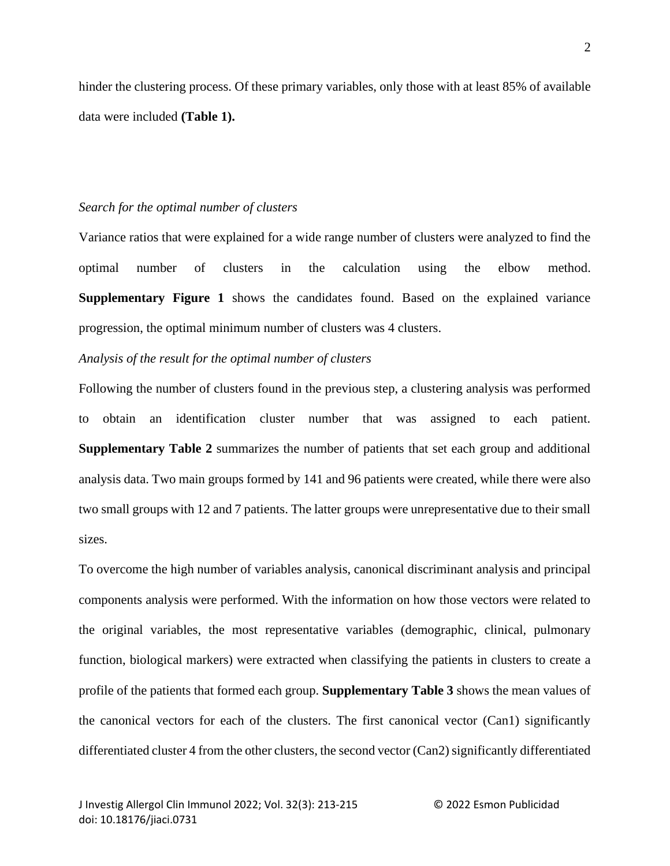hinder the clustering process. Of these primary variables, only those with at least 85% of available data were included **(Table 1).**

#### *Search for the optimal number of clusters*

Variance ratios that were explained for a wide range number of clusters were analyzed to find the optimal number of clusters in the calculation using the elbow method. **Supplementary Figure 1** shows the candidates found. Based on the explained variance progression, the optimal minimum number of clusters was 4 clusters.

#### *Analysis of the result for the optimal number of clusters*

Following the number of clusters found in the previous step, a clustering analysis was performed to obtain an identification cluster number that was assigned to each patient. **Supplementary Table 2** summarizes the number of patients that set each group and additional analysis data. Two main groups formed by 141 and 96 patients were created, while there were also two small groups with 12 and 7 patients. The latter groups were unrepresentative due to their small sizes.

To overcome the high number of variables analysis, canonical discriminant analysis and principal components analysis were performed. With the information on how those vectors were related to the original variables, the most representative variables (demographic, clinical, pulmonary function, biological markers) were extracted when classifying the patients in clusters to create a profile of the patients that formed each group. **Supplementary Table 3** shows the mean values of the canonical vectors for each of the clusters. The first canonical vector (Can1) significantly differentiated cluster 4 from the other clusters, the second vector (Can2) significantly differentiated